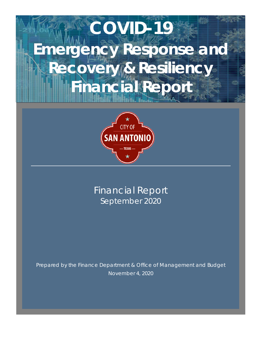# **COVID-19 Emergency Response and Recovery & Resiliency Financial Report**



Financial Report September 2020

Prepared by the Finance Department & Office of Management and Budget November 4, 2020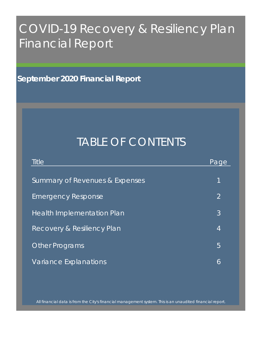# COVID-19 Recovery & Resiliency Plan Financial Report

**September 2020 Financial Report**

# TABLE OF CONTENTS

| <b>Title</b>                          | Page           |
|---------------------------------------|----------------|
| Summary of Revenues & Expenses        | 1              |
|                                       |                |
| <b>Emergency Response</b>             | $\overline{2}$ |
| <b>Health Implementation Plan</b>     | 3              |
| <b>Recovery &amp; Resiliency Plan</b> | 4              |
| <b>Other Programs</b>                 | 5              |
| Variance Explanations                 | 6              |

All financial data is from the City's financial management system. This is an unaudited financial report.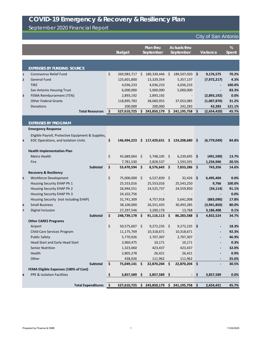September 2020 Financial Report

| Plan thru<br><b>Actuals thru</b><br><b>Budget</b><br>September<br><b>September</b>                                     | %<br>Variance<br><b>Spent</b> |
|------------------------------------------------------------------------------------------------------------------------|-------------------------------|
|                                                                                                                        |                               |
| <b>EXPENSES BY FUNDING SOURCE</b>                                                                                      |                               |
| \$<br><b>Coronavirus Relief Fund</b><br>269,983,717<br>180,330,446<br>S.<br>189,507,020<br>\$<br>\$<br>$\mathbf{1}$    | 9,176,575<br>70.2%            |
| <b>General Fund</b><br>125,601,800<br>13,329,354<br>5,357,137<br>$\overline{2}$                                        | 4.3%<br>(7, 972, 217)         |
| <b>TIRZ</b><br>4,036,233<br>4,036,233<br>4,036,233                                                                     | 100.0%                        |
| 6,000,000<br>5,000,000<br>5,000,000<br>San Antonio Housing Trust                                                       | 83.3%                         |
| FEMA Reimbursement (75%)<br>2,893,192<br>2,893,192<br>3                                                                | 0.0%<br>(2,893,192)           |
| <b>Other Federal Grants</b><br>38,060,955<br>118,895,783<br>37,053,085                                                 | 31.2%<br>(1,007,870)          |
| 200,000<br>200,000<br>242,283<br>Donations                                                                             | 42,283<br>121.1%              |
| <b>Total Resources</b><br>  \$<br>527,610,725<br>243,850,179<br>241,195,758<br>\$<br>S                                 | (2,654,420)<br>45.7%          |
|                                                                                                                        |                               |
| <b>EXPENSES BY PROGRAM</b>                                                                                             |                               |
| <b>Emergency Response</b>                                                                                              |                               |
| Eligible Payroll, Protective Equipment & Supplies,                                                                     |                               |
| \$<br>EOC Operations, and Isolation Units<br>146,494,223<br>117,429,631<br>\$<br>124,208,680<br>\$<br>S.<br>4          | (6,779,049)<br>84.8%          |
|                                                                                                                        |                               |
| <b>Health Implementation Plan</b><br>\$<br>45,689,064<br>$5,748,105$ \$<br>Metro Health<br>\$<br>6,239,695             | 13.7%                         |
| \$<br>Fire                                                                                                             | (491, 590)<br>20.5%           |
| 7,781,530<br>2,828,537<br>1,593,591<br>\$<br>\$<br><b>Subtotal</b><br>53,470,594<br>\$<br>8,576,643<br>\$<br>7,833,286 | 1,234,946<br>14.6%<br>743,356 |
| <b>Recovery &amp; Resiliency</b>                                                                                       |                               |
| \$<br>75,000,000<br>Workforce Development<br>\$<br>$6,527,830$ \$<br>$32,426$ \$<br>5                                  | 6,495,404<br>0.0%             |
| Housing Security EHAP Ph 1<br>25,553,016<br>25,553,016<br>25,543,250                                                   | 9,766<br>100.0%               |
| Housing Security EHAP Ph 2<br>26,944,551<br>24,525,737<br>24,559,850                                                   | (34, 114)<br>91.1%            |
| Housing Security EHAP Ph 3<br>24,102,756                                                                               | 0.0%                          |
| Housing Security (not including EHAP)<br>31,741,309<br>4,757,918<br>5,641,008                                          | (883,090)<br>17.8%            |
| <b>Small Business</b><br>38,100,000<br>26,551,435<br>30,493,285<br>6                                                   | (3,941,850)<br>80.0%          |
| Digital Inclusion<br>3,200,176<br>13,768<br>27,297,546<br>$\overline{\mathbf{z}}$                                      | 0.1%<br>3,186,408             |
| \$<br>Subtotal<br>$91,116,113$ \$<br>86,283,588 \$<br>248,739,178 \$                                                   | 34.7%<br>4,832,524            |
| <b>Other CARES Programs</b>                                                                                            |                               |
| \$<br>50,575,607 \$<br>$9,272,235$ \$<br>$9,272,235$ \$<br>Airport                                                     | 18.3%                         |
| 11,175,769<br>10,318,671<br>10,318,671<br>Child Care Services Program                                                  | 92.3%                         |
| <b>Public Safety</b><br>5,770,926<br>2,707,307<br>2,707,307                                                            | 46.9%                         |
| Head Start and Early Head Start<br>2,960,475<br>10,171<br>10,171                                                       |                               |
|                                                                                                                        | 0.3%                          |
| <b>Senior Nutrition</b><br>1,323,060<br>423,437<br>423,437                                                             | 32.0%                         |
| Health<br>2,805,278<br>26,421<br>26,421                                                                                | 0.9%                          |
| Other<br>438,026<br>111,962<br>111,962                                                                                 | 25.6%                         |
| $\boldsymbol{\zeta}$<br>22,870,204 \$<br>Subtotal<br>75,049,141 \$<br>22,870,204 \$                                    | 30.5%                         |
| <b>FEMA Eligible Expenses (100% of Cost)</b>                                                                           |                               |
| PPE & Isolation Facilities<br>\$<br>3,857,589 \$<br>$3,857,589$ \$<br>- \$<br>8                                        | 3,857,589<br>0.0%             |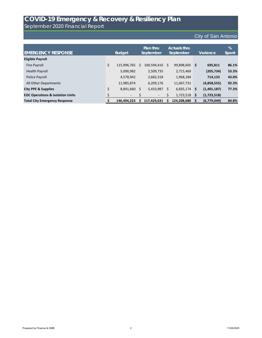September 2020 Financial Report

| <b>EMERGENCY RESPONSE</b>                   |    | <b>Budget</b>  |    | Plan thru<br>September |              | <b>Actuals thru</b><br>September |      | Variance    | %<br>Spent |
|---------------------------------------------|----|----------------|----|------------------------|--------------|----------------------------------|------|-------------|------------|
| <b>Eligible Payroll</b>                     |    |                |    |                        |              |                                  |      |             |            |
| Fire Payroll                                | \$ | 115,996,765    | S  | 100,594,416            | $\mathsf{S}$ | 99,898,605 \$                    |      | 695,811     | 86.1%      |
| Health Payroll                              |    | 5,090,982      |    | 2,509,735              |              | 2,715,469                        |      | (205, 734)  | 53.3%      |
| Police Payroll                              |    | 4,578,942      |    | 2,682,318              |              | 1,968,184                        |      | 714,133     | 43.0%      |
| All Other Departments                       |    | 11,985,874     |    | 6,209,176              |              | 11,067,731                       |      | (4,858,555) | 92.3%      |
| <b>City PPE &amp; Supplies</b>              | \$ | 8,841,660      | \$ | 5,433,987              | \$           | $6,835,174$ \$                   |      | (1,401,187) | 77.3%      |
| <b>EOC Operations &amp; Isolation Units</b> |    | $\blacksquare$ |    | $\blacksquare$         |              | 1,723,518                        | - \$ | (1,723,518) |            |
| <b>Total City Emergency Response</b>        |    | 146,494,223    | S  | 117,429,631            |              | 124,208,680                      | ∣\$  | (6,779,049) | 84.8%      |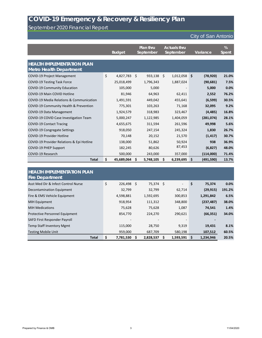### September 2020 Financial Report

|                                                                     | <b>Budget</b>    | Plan thru<br>September |           | <b>Actuals thru</b><br>September |           | Variance         | %<br><b>Spent</b> |
|---------------------------------------------------------------------|------------------|------------------------|-----------|----------------------------------|-----------|------------------|-------------------|
| <b>HEALTH IMPLEMENTATION PLAN</b><br><b>Metro Health Department</b> |                  |                        |           |                                  |           |                  |                   |
| <b>COVID-19 Project Management</b>                                  | \$<br>4,827,783  | \$                     | 933,138   | $\zeta$                          | 1,012,058 | \$<br>(78, 920)  | 21.0%             |
| <b>COVID-19 Testing Task Force</b>                                  | 25,018,499       |                        | 1,796,343 |                                  | 1,887,024 | (90, 681)        | 7.5%              |
| <b>COVID-19 Community Education</b>                                 | 105,000          |                        | 5,000     |                                  |           | 5,000            | 0.0%              |
| <b>COVID-19 Main COVID Hotline</b>                                  | 81,946           |                        | 64,963    |                                  | 62,411    | 2,552            | 76.2%             |
| COVID-19 Media Relations & Communication                            | 1,491,591        |                        | 449,042   |                                  | 455,641   | (6, 599)         | 30.5%             |
| COVID-19 Community Health & Prevention                              | 775,301          |                        | 103,263   |                                  | 71,168    | 32,095           | 9.2%              |
| COVID-19 Data Management                                            | 1,924,579        |                        | 318,983   |                                  | 323,467   | (4, 485)         | 16.8%             |
| COVID-19 COVID Case Investigation Team                              | 5,000,247        |                        | 1,122,985 |                                  | 1,404,059 | (281, 074)       | 28.1%             |
| <b>COVID-19 Contact Tracing</b>                                     | 4,655,675        |                        | 311,594   |                                  | 261,596   | 49,998           | 5.6%              |
| <b>COVID-19 Congregate Settings</b>                                 | 918,050          |                        | 247,154   |                                  | 245,324   | 1,830            | 26.7%             |
| <b>COVID-19 Provider Hotline</b>                                    | 70,148           |                        | 20,152    |                                  | 21,570    | (1, 417)         | 30.7%             |
| COVID-19 Provider Relations & Epi Hotline                           | 138,000          |                        | 51,862    |                                  | 50,924    | 938              | 36.9%             |
| <b>COVID-19 PHEP Support</b>                                        | 182,245          |                        | 80,626    |                                  | 87,453    | (6,827)          | 48.0%             |
| COVID-19 Research                                                   | 500,000          |                        | 243,000   |                                  | 357,000   | (114,000)        | 71.4%             |
| <b>Total</b>                                                        | \$<br>45,689,064 | \$                     | 5,748,105 | S                                | 6,239,695 | \$<br>(491, 590) | 13.7%             |

| <b>HEALTH IMPLEMENTATION PLAN</b><br><b>Fire Department</b> |                    |             |                          |    |            |        |
|-------------------------------------------------------------|--------------------|-------------|--------------------------|----|------------|--------|
| Asst Med Dir & Infect Control Nurse                         | \$<br>$226,498$ \$ | $75,374$ \$ | $\overline{\phantom{a}}$ | \$ | 75,374     | 0.0%   |
| Decontamination Equipment                                   | 32,799             | 32,799      | 62,714                   |    | (29, 915)  | 191.2% |
| Fire & EMS Vehicle Equipment                                | 4,598,881          | 1,592,695   | 300,853                  |    | 1,291,842  | 6.5%   |
| <b>MIH Equipment</b>                                        | 918,954            | 111,312     | 348,800                  |    | (237, 487) | 38.0%  |
| <b>MIH Medications</b>                                      | 75,628             | 75,628      | 1,087                    |    | 74,541     | 1.4%   |
| <b>Protective Personnel Equipment</b>                       | 854,770            | 224,270     | 290,621                  |    | (66, 351)  | 34.0%  |
| SAFD First Responder Payroll                                |                    |             |                          |    |            |        |
| <b>Temp Staff Inventory Mgmt</b>                            | 115,000            | 28,750      | 9,319                    |    | 19,431     | 8.1%   |
| <b>Testing Mobile Unit</b>                                  | 959,000            | 687,709     | 580,198                  |    | 107,512    | 60.5%  |
| <b>Total</b>                                                | \$<br>7,781,530    | 2,828,537   | 1,593,591                | S  | 1,234,946  | 20.5%  |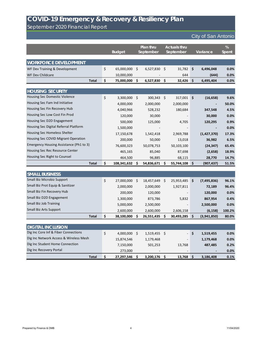September 2020 Financial Report

|                                         | <b>Budget</b> |              | Plan thru<br>September |              | <b>Actuals thru</b><br>September |      | Variance      | %<br><b>Spent</b> |
|-----------------------------------------|---------------|--------------|------------------------|--------------|----------------------------------|------|---------------|-------------------|
| <b>WORKFORCE DEVELOPMENT</b>            |               |              |                        |              |                                  |      |               |                   |
| WF Dev Training & Development           | \$            | 65,000,000   | $\zeta$                | 6,527,830    | \$<br>31,782                     | \$   | 6,496,048     | 0.0%              |
| <b>WF Dev Childcare</b>                 |               | 10,000,000   |                        |              | 644                              |      | (644)         | 0.0%              |
| <b>Total</b>                            | \$            | 75,000,000   | \$                     | 6,527,830    | \$<br>32,426                     | \$   | 6,495,404     | 0.0%              |
|                                         |               |              |                        |              |                                  |      |               |                   |
| <b>HOUSING SECURITY</b>                 |               |              |                        |              |                                  |      |               |                   |
| Housing Sec Domestic Violence           | \$            | 3,300,000    | \$                     | 300,343      | \$<br>317,001                    | \$   | (16, 658)     | 9.6%              |
| Housing Sec Fam Ind Initiative          |               | 4,000,000    |                        | 2,000,000    | 2,000,000                        |      |               | 50.0%             |
| Housing Sec Fin Recovery Hub            |               | 4,040,966    |                        | 528,232      | 180,684                          |      | 347,548       | 4.5%              |
| Housing Sec Low Cost Fin Prod           |               | 120,000      |                        | 30,000       |                                  |      | 30,000        | 0.0%              |
| Housing Sec D2D Engagement              |               | 500,000      |                        | 125,000      | 4,705                            |      | 120,295       | 0.9%              |
| Housing Sec Digital Referral Platform   |               | 1,500,000    |                        |              |                                  |      |               | 0.0%              |
| Housing Sec Homeless Shelter            |               | 17,150,678   |                        | 1,542,418    | 2,969,788                        |      | (1,427,370)   | 17.3%             |
| Housing Sec COVID Migrant Operation     |               | 200,000      |                        | 50,000       | 13,018                           |      | 36,982        | 6.5%              |
| Emergency Housing Assistance (Ph1 to 3) |               | 76,600,323   |                        | 50,078,753   | 50,103,100                       |      | (24, 347)     | 65.4%             |
| Housing Sec Rec Resource Center         |               | 465,165      |                        | 85,040       | 87,698                           |      | (2,658)       | 18.9%             |
| Housing Sec Right to Counsel            |               | 464,500      |                        | 96,885       | 68,115                           |      | 28,770        | 14.7%             |
| <b>Total</b>                            | \$            | 108,341,632  | \$                     | 54,836,671   | \$<br>55,744,108                 | \$   | (907, 437)    | 51.5%             |
|                                         |               |              |                        |              |                                  |      |               |                   |
| <b>SMALL BUSINESS</b>                   |               |              |                        |              |                                  |      |               |                   |
| Small Biz Microbiz Support              | \$            | 27,000,000   | \$,                    | 18,457,649   | \$<br>25,953,485                 | \$   | (7, 495, 836) | 96.1%             |
| Small Biz Prot Equip & Sanitizer        |               | 2,000,000    |                        | 2,000,000    | 1,927,811                        |      | 72,189        | 96.4%             |
| Small Biz Fin Recovery Hub              |               | 200,000      |                        | 120,000      |                                  |      | 120,000       | 0.0%              |
| Small Biz D2D Engagement                |               | 1,300,000    |                        | 873,786      | 5,832                            |      | 867,954       | 0.4%              |
| <b>Small Biz Job Training</b>           |               | 5,000,000    |                        | 2,500,000    |                                  |      | 2,500,000     | 0.0%              |
| <b>Small Biz Arts Support</b>           |               | 2,600,000    |                        | 2,600,000    | 2,606,158                        |      | (6, 158)      | 100.2%            |
| <b>Total</b>                            | \$            | 38,100,000   | -S                     | 26,551,435   | \$<br>30,493,285                 | \$   | (3,941,850)   | 80.0%             |
| <b>DIGITAL INCLUSION</b>                |               |              |                        |              |                                  |      |               |                   |
| Dig Inc Core Inf & Fiber Connections    | \$            | 4,000,000 \$ |                        | 1,519,455 \$ |                                  | - \$ | 1,519,455     | 0.0%              |
| Dig Inc Network Access & Wireless Mesh  |               | 15,874,546   |                        | 1,179,468    |                                  |      | 1,179,468     | 0.0%              |
| Dig Inc Student Home Connection         |               | 7,150,000    |                        | 501,253      | 13,768                           |      | 487,485       | 0.2%              |
| Dig Inc Recovery Portal                 |               | 273,000      |                        |              |                                  |      |               | 0.0%              |
| <b>Total</b>                            | \$            | 27,297,546   | $\ddot{\bm{\zeta}}$    | 3,200,176    | \$<br>13,768                     | \$   | 3,186,408     | 0.1%              |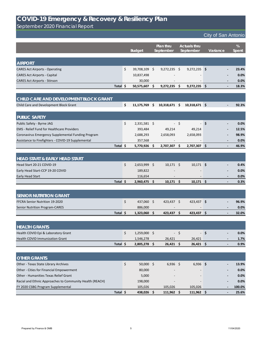September 2020 Financial Report

|                                                             |                       | <b>Plan thru</b><br>September |                 |      | <b>Actuals thru</b><br>September |      | Variance | %            |
|-------------------------------------------------------------|-----------------------|-------------------------------|-----------------|------|----------------------------------|------|----------|--------------|
|                                                             | <b>Budget</b>         |                               |                 |      |                                  |      |          | <b>Spent</b> |
| <b>AIRPORT</b>                                              |                       |                               |                 |      |                                  |      |          |              |
| <b>CARES Act Airports - Operating</b>                       | \$<br>39,708,109 \$   |                               | $9,272,235$ \$  |      | $9,272,235$ \$                   |      |          | 23.4%        |
| <b>CARES Act Airports - Capital</b>                         | 10,837,498            |                               |                 |      |                                  |      |          | 0.0%         |
| <b>CARES Act Airports - Stinson</b>                         | 30,000                |                               |                 |      |                                  |      |          | 0.0%         |
| Total \$                                                    | 50,575,607 \$         |                               | 9,272,235       | - \$ | $9,272,235$ \$                   |      |          | 18.3%        |
|                                                             |                       |                               |                 |      |                                  |      |          |              |
| CHILD CARE AND DEVELOPMENT BLOCK GRANT                      |                       |                               |                 |      |                                  |      |          |              |
| Child Care and Development Block Grant                      | \$<br>$11,175,769$ \$ |                               | $10,318,671$ \$ |      | $10,318,671$ \$                  |      |          | 92.3%        |
| <b>PUBLIC SAFETY</b>                                        |                       |                               |                 |      |                                  |      |          |              |
| Public Safety - Byrne JAG                                   | \$<br>2,331,581 \$    |                               |                 | $-5$ | $-1$                             | \$   |          | 0.0%         |
| <b>EMS</b> - Relief Fund for Healthcare Providers           | 393,484               |                               | 49,214          |      | 49,214                           |      |          | 12.5%        |
| Coronavirus Emergency Supplemental Funding Program          | 2,688,293             |                               | 2,658,093       |      | 2,658,093                        |      |          | 98.9%        |
| Assistance to Firefighters - COVID-19 Supplemental          | 357,568               |                               |                 |      |                                  |      |          | 0.0%         |
| Total \$                                                    | 5,770,926 \$          |                               | 2,707,307       | \$   | 2,707,307 \$                     |      |          | 46.9%        |
|                                                             |                       |                               |                 |      |                                  |      |          |              |
| <b>HEAD START &amp; EARLY HEAD START</b>                    |                       |                               |                 |      |                                  |      |          |              |
| Head Start 20-21 COVID-19                                   | \$<br>2,653,999 \$    |                               | $10,171$ \$     |      | $10,171$ \$                      |      |          | 0.4%         |
| Early Head Start-CCP 19-20 COVID                            | 189,822               |                               |                 |      |                                  |      |          | 0.0%         |
| Early Head Start                                            | 116,654               |                               |                 |      |                                  |      |          | 0.0%         |
| Total \$                                                    | 2,960,475 \$          |                               | $10,171$ \$     |      | $10,171$ \$                      |      |          | 0.3%         |
| <b>SENIOR NUTRITION GRANT</b>                               |                       |                               |                 |      |                                  |      |          |              |
| FFCRA Senior Nutrition 19-2020                              | \$<br>437,060 \$      |                               | 423,437 \$      |      | $423,437$ \$                     |      |          | 96.9%        |
| <b>Senior Nutrition Program-CARES</b>                       | 886,000               |                               |                 |      |                                  |      |          | 0.0%         |
| Total \$                                                    | $1,323,060$ \$        |                               | $423,437$ \$    |      | $423,437$ \$                     |      |          | 32.0%        |
|                                                             |                       |                               |                 |      |                                  |      |          |              |
| <b>HEALTH GRANTS</b><br>Health COVID Epi & Laboratory Grant | 1,259,000 \$          |                               |                 | $-5$ |                                  |      |          | 0.0%         |
| Health COVID Immunization Grant                             | \$<br>1,546,278       |                               | 26,421          |      | 26,421                           | - \$ |          | 1.7%         |
| Total \$                                                    | $2,805,278$ \$        |                               | $26,421$ \$     |      | $26,421$ \$                      |      |          | 0.9%         |
|                                                             |                       |                               |                 |      |                                  |      |          |              |
| <b>OTHER GRANTS</b>                                         |                       |                               |                 |      |                                  |      |          |              |

| Other - Texas State Library Archives                     | 50,000  | $6,936$ \$               | $6,936$ \$               |  | 13.9%  |
|----------------------------------------------------------|---------|--------------------------|--------------------------|--|--------|
| Other - Cities for Financial Empowerment                 | 80,000  | $\overline{\phantom{0}}$ | $\overline{\phantom{0}}$ |  | 0.0%   |
| Other - Humanities Texas Relief Grant                    | 5,000   | $\overline{\phantom{0}}$ |                          |  | 0.0%   |
| Racial and Ethnic Approaches to Community Health (REACH) | 198,000 | $\overline{\phantom{0}}$ | $\overline{\phantom{0}}$ |  | 0.0%   |
| FY 2020 CSBG Program Supplemental                        | 105,026 | 105,026                  | 105,026                  |  | 100.0% |
| <b>Total</b>                                             | 438,026 | 111,962                  | 111,962                  |  | 25.6%  |

# **COVID-19 Emergency & Recovery & Resiliency Plan**